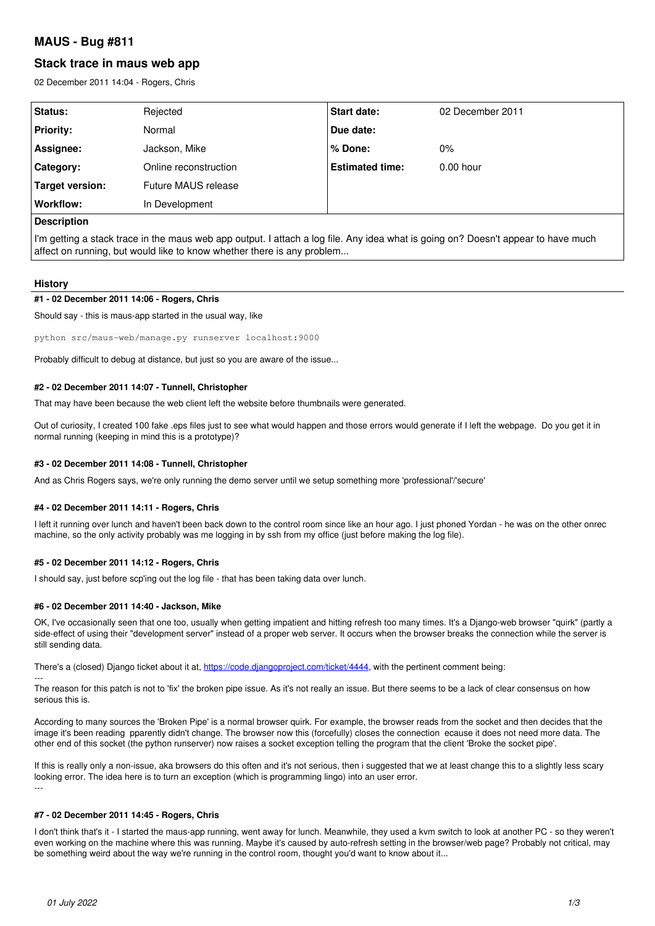# **MAUS - Bug #811**

# **Stack trace in maus web app**

02 December 2011 14:04 - Rogers, Chris

| Status:            | Rejected              | <b>Start date:</b>     | 02 December 2011 |
|--------------------|-----------------------|------------------------|------------------|
| <b>Priority:</b>   | Normal                | Due date:              |                  |
| Assignee:          | Jackson, Mike         | % Done:                | $0\%$            |
| Category:          | Online reconstruction | <b>Estimated time:</b> | $0.00$ hour      |
| Target version:    | Future MAUS release   |                        |                  |
| Workflow:          | In Development        |                        |                  |
| <b>Description</b> |                       |                        |                  |

**Description**

I'm getting a stack trace in the maus web app output. I attach a log file. Any idea what is going on? Doesn't appear to have much affect on running, but would like to know whether there is any problem...

# **History**

# **#1 - 02 December 2011 14:06 - Rogers, Chris**

Should say - this is maus-app started in the usual way, like

python src/maus-web/manage.py runserver localhost:9000

Probably difficult to debug at distance, but just so you are aware of the issue...

# **#2 - 02 December 2011 14:07 - Tunnell, Christopher**

That may have been because the web client left the website before thumbnails were generated.

Out of curiosity, I created 100 fake .eps files just to see what would happen and those errors would generate if I left the webpage. Do you get it in normal running (keeping in mind this is a prototype)?

# **#3 - 02 December 2011 14:08 - Tunnell, Christopher**

And as Chris Rogers says, we're only running the demo server until we setup something more 'professional'/'secure'

# **#4 - 02 December 2011 14:11 - Rogers, Chris**

I left it running over lunch and haven't been back down to the control room since like an hour ago. I just phoned Yordan - he was on the other onrec machine, so the only activity probably was me logging in by ssh from my office (just before making the log file).

# **#5 - 02 December 2011 14:12 - Rogers, Chris**

I should say, just before scp'ing out the log file - that has been taking data over lunch.

# **#6 - 02 December 2011 14:40 - Jackson, Mike**

OK, I've occasionally seen that one too, usually when getting impatient and hitting refresh too many times. It's a Django-web browser "quirk" (partly a side-effect of using their "development server" instead of a proper web server. It occurs when the browser breaks the connection while the server is still sending data.

There's a (closed) Django ticket about it at,<https://code.djangoproject.com/ticket/4444>, with the pertinent comment being:

--- The reason for this patch is not to 'fix' the broken pipe issue. As it's not really an issue. But there seems to be a lack of clear consensus on how serious this is.

According to many sources the 'Broken Pipe' is a normal browser quirk. For example, the browser reads from the socket and then decides that the image it's been reading pparently didn't change. The browser now this (forcefully) closes the connection ecause it does not need more data. The other end of this socket (the python runserver) now raises a socket exception telling the program that the client 'Broke the socket pipe'.

If this is really only a non-issue, aka browsers do this often and it's not serious, then i suggested that we at least change this to a slightly less scary looking error. The idea here is to turn an exception (which is programming lingo) into an user error. ---

# **#7 - 02 December 2011 14:45 - Rogers, Chris**

I don't think that's it - I started the maus-app running, went away for lunch. Meanwhile, they used a kvm switch to look at another PC - so they weren't even working on the machine where this was running. Maybe it's caused by auto-refresh setting in the browser/web page? Probably not critical, may be something weird about the way we're running in the control room, thought you'd want to know about it...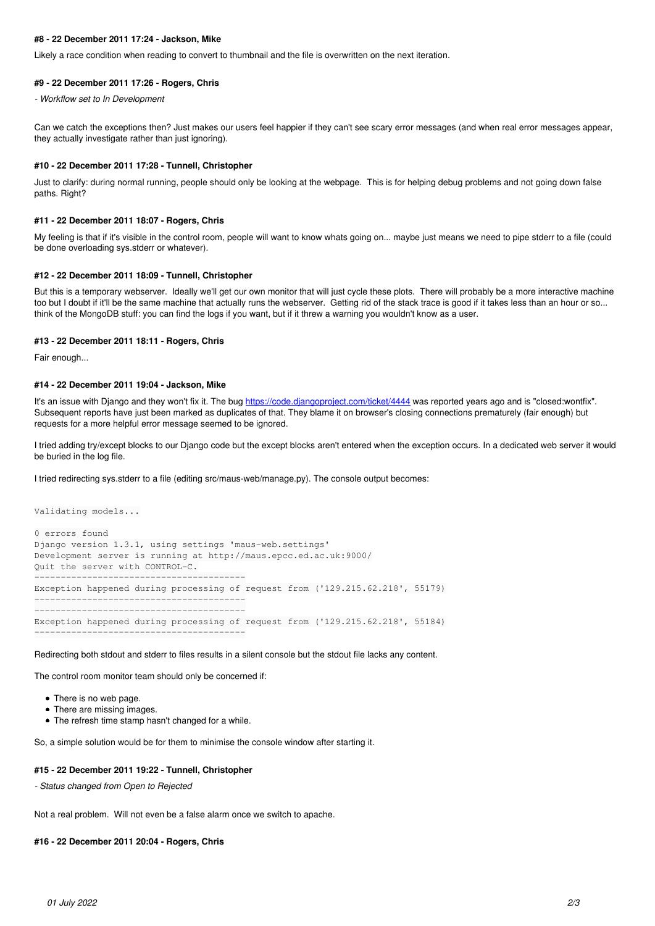### **#8 - 22 December 2011 17:24 - Jackson, Mike**

Likely a race condition when reading to convert to thumbnail and the file is overwritten on the next iteration.

### **#9 - 22 December 2011 17:26 - Rogers, Chris**

*- Workflow set to In Development*

Can we catch the exceptions then? Just makes our users feel happier if they can't see scary error messages (and when real error messages appear, they actually investigate rather than just ignoring).

### **#10 - 22 December 2011 17:28 - Tunnell, Christopher**

Just to clarify: during normal running, people should only be looking at the webpage. This is for helping debug problems and not going down false paths. Right?

### **#11 - 22 December 2011 18:07 - Rogers, Chris**

My feeling is that if it's visible in the control room, people will want to know whats going on... maybe just means we need to pipe stderr to a file (could be done overloading sys.stderr or whatever).

### **#12 - 22 December 2011 18:09 - Tunnell, Christopher**

But this is a temporary webserver. Ideally we'll get our own monitor that will just cycle these plots. There will probably be a more interactive machine too but I doubt if it'll be the same machine that actually runs the webserver. Getting rid of the stack trace is good if it takes less than an hour or so... think of the MongoDB stuff: you can find the logs if you want, but if it threw a warning you wouldn't know as a user.

### **#13 - 22 December 2011 18:11 - Rogers, Chris**

Fair enough...

### **#14 - 22 December 2011 19:04 - Jackson, Mike**

It's an issue with Django and they won't fix it. The bug<https://code.djangoproject.com/ticket/4444> was reported years ago and is "closed:wontfix". Subsequent reports have just been marked as duplicates of that. They blame it on browser's closing connections prematurely (fair enough) but requests for a more helpful error message seemed to be ignored.

I tried adding try/except blocks to our Django code but the except blocks aren't entered when the exception occurs. In a dedicated web server it would be buried in the log file.

I tried redirecting sys.stderr to a file (editing src/maus-web/manage.py). The console output becomes:

```
Validating models...
0 errors found
Django version 1.3.1, using settings 'maus-web.settings'
Development server is running at http://maus.epcc.ed.ac.uk:9000/
Quit the server with CONTROL-C.
----------------------------------------
Exception happened during processing of request from ('129.215.62.218', 55179)
----------------------------------------
 ----------------------------------------
Exception happened during processing of request from ('129.215.62.218', 55184)
----------------------------------------
```
Redirecting both stdout and stderr to files results in a silent console but the stdout file lacks any content.

The control room monitor team should only be concerned if:

- There is no web page.
- There are missing images.
- The refresh time stamp hasn't changed for a while.

So, a simple solution would be for them to minimise the console window after starting it.

### **#15 - 22 December 2011 19:22 - Tunnell, Christopher**

*- Status changed from Open to Rejected*

Not a real problem. Will not even be a false alarm once we switch to apache.

### **#16 - 22 December 2011 20:04 - Rogers, Chris**